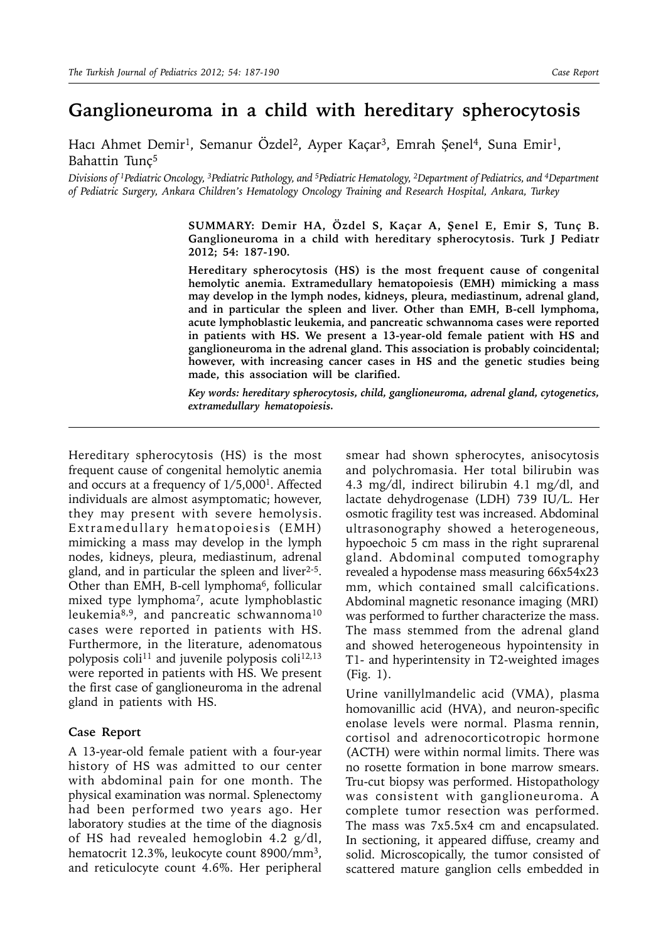## **Ganglioneuroma in a child with hereditary spherocytosis**

Hacı Ahmet Demir<sup>1</sup>, Semanur Özdel<sup>2</sup>, Ayper Kaçar<sup>3</sup>, Emrah Şenel<sup>4</sup>, Suna Emir<sup>1</sup>, Bahattin Tunç5

*Divisions of 1Pediatric Oncology, 3Pediatric Pathology, and 5Pediatric Hematology, 2Department of Pediatrics, and 4Department of Pediatric Surgery, Ankara Children's Hematology Oncology Training and Research Hospital, Ankara, Turkey*

> **SUMMARY: Demir HA, Özdel S, Kaçar A, Şenel E, Emir S, Tunç B. Ganglioneuroma in a child with hereditary spherocytosis. Turk J Pediatr 2012; 54: 187-190.**

> **Hereditary spherocytosis (HS) is the most frequent cause of congenital hemolytic anemia. Extramedullary hematopoiesis (EMH) mimicking a mass may develop in the lymph nodes, kidneys, pleura, mediastinum, adrenal gland, and in particular the spleen and liver. Other than EMH, B-cell lymphoma, acute lymphoblastic leukemia, and pancreatic schwannoma cases were reported in patients with HS. We present a 13-year-old female patient with HS and ganglioneuroma in the adrenal gland. This association is probably coincidental; however, with increasing cancer cases in HS and the genetic studies being made, this association will be clarified.**

> *Key words: hereditary spherocytosis, child, ganglioneuroma, adrenal gland, cytogenetics, extramedullary hematopoiesis.*

Hereditary spherocytosis (HS) is the most frequent cause of congenital hemolytic anemia and occurs at a frequency of 1/5,0001. Affected individuals are almost asymptomatic; however, they may present with severe hemolysis. Extramedullary hematopoiesis (EMH) mimicking a mass may develop in the lymph nodes, kidneys, pleura, mediastinum, adrenal gland, and in particular the spleen and liver $2-5$ . Other than EMH, B-cell lymphoma<sup>6</sup>, follicular mixed type lymphoma7, acute lymphoblastic leukemia<sup>8,9</sup>, and pancreatic schwannoma<sup>10</sup> cases were reported in patients with HS. Furthermore, in the literature, adenomatous polyposis coli<sup>11</sup> and juvenile polyposis coli<sup>12,13</sup> were reported in patients with HS. We present the first case of ganglioneuroma in the adrenal gland in patients with HS.

## **Case Report**

A 13-year-old female patient with a four-year history of HS was admitted to our center with abdominal pain for one month. The physical examination was normal. Splenectomy had been performed two years ago. Her laboratory studies at the time of the diagnosis of HS had revealed hemoglobin 4.2 g/dl, hematocrit 12.3%, leukocyte count 8900/mm<sup>3</sup>, and reticulocyte count 4.6%. Her peripheral

smear had shown spherocytes, anisocytosis and polychromasia. Her total bilirubin was 4.3 mg/dl, indirect bilirubin 4.1 mg/dl, and lactate dehydrogenase (LDH) 739 IU/L. Her osmotic fragility test was increased. Abdominal ultrasonography showed a heterogeneous, hypoechoic 5 cm mass in the right suprarenal gland. Abdominal computed tomography revealed a hypodense mass measuring 66x54x23 mm, which contained small calcifications. Abdominal magnetic resonance imaging (MRI) was performed to further characterize the mass. The mass stemmed from the adrenal gland and showed heterogeneous hypointensity in T1- and hyperintensity in T2-weighted images (Fig. 1).

Urine vanillylmandelic acid (VMA), plasma homovanillic acid (HVA), and neuron-specific enolase levels were normal. Plasma rennin, cortisol and adrenocorticotropic hormone (ACTH) were within normal limits. There was no rosette formation in bone marrow smears. Tru-cut biopsy was performed. Histopathology was consistent with ganglioneuroma. A complete tumor resection was performed. The mass was 7x5.5x4 cm and encapsulated. In sectioning, it appeared diffuse, creamy and solid. Microscopically, the tumor consisted of scattered mature ganglion cells embedded in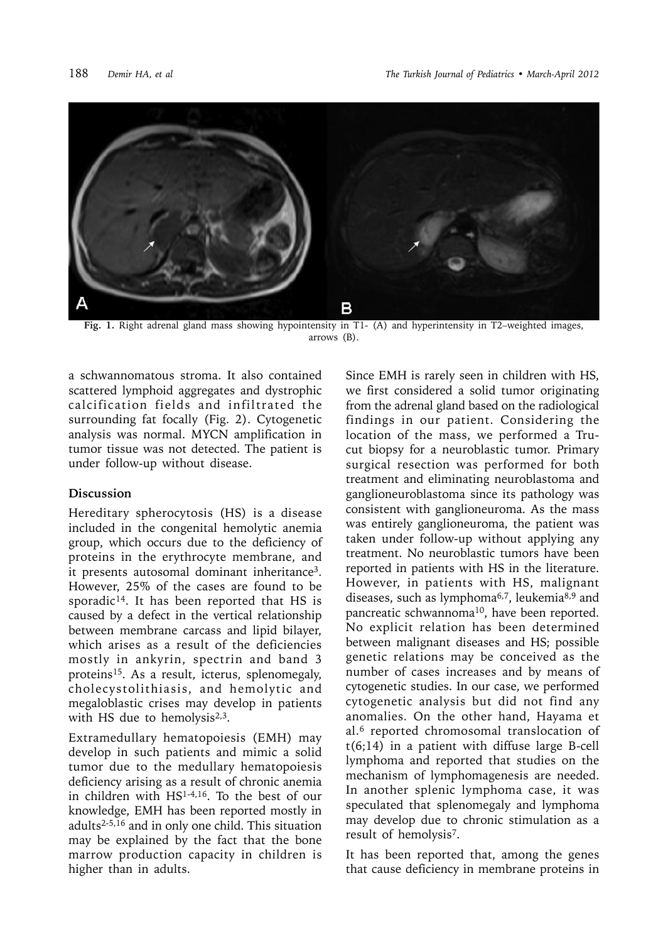

**Fig. 1.** Right adrenal gland mass showing hypointensity in T1- (A) and hyperintensity in T2–weighted images, arrows (B).

a schwannomatous stroma. It also contained scattered lymphoid aggregates and dystrophic calcification fields and infiltrated the surrounding fat focally (Fig. 2). Cytogenetic analysis was normal. MYCN amplification in tumor tissue was not detected. The patient is under follow-up without disease.

## **Discussion**

Hereditary spherocytosis (HS) is a disease included in the congenital hemolytic anemia group, which occurs due to the deficiency of proteins in the erythrocyte membrane, and it presents autosomal dominant inheritance3. However, 25% of the cases are found to be sporadic<sup>14</sup>. It has been reported that HS is caused by a defect in the vertical relationship between membrane carcass and lipid bilayer, which arises as a result of the deficiencies mostly in ankyrin, spectrin and band 3 proteins<sup>15</sup>. As a result, icterus, splenomegaly, cholecystolithiasis, and hemolytic and megaloblastic crises may develop in patients with HS due to hemolysis $2,3$ .

Extramedullary hematopoiesis (EMH) may develop in such patients and mimic a solid tumor due to the medullary hematopoiesis deficiency arising as a result of chronic anemia in children with HS1-4,16. To the best of our knowledge, EMH has been reported mostly in adults2-5,16 and in only one child. This situation may be explained by the fact that the bone marrow production capacity in children is higher than in adults.

Since EMH is rarely seen in children with HS, we first considered a solid tumor originating from the adrenal gland based on the radiological findings in our patient. Considering the location of the mass, we performed a Trucut biopsy for a neuroblastic tumor. Primary surgical resection was performed for both treatment and eliminating neuroblastoma and ganglioneuroblastoma since its pathology was consistent with ganglioneuroma. As the mass was entirely ganglioneuroma, the patient was taken under follow-up without applying any treatment. No neuroblastic tumors have been reported in patients with HS in the literature. However, in patients with HS, malignant diseases, such as lymphoma6,7, leukemia8,9 and pancreatic schwannoma<sup>10</sup>, have been reported. No explicit relation has been determined between malignant diseases and HS; possible genetic relations may be conceived as the number of cases increases and by means of cytogenetic studies. In our case, we performed cytogenetic analysis but did not find any anomalies. On the other hand, Hayama et al.6 reported chromosomal translocation of t(6;14) in a patient with diffuse large B-cell lymphoma and reported that studies on the mechanism of lymphomagenesis are needed. In another splenic lymphoma case, it was speculated that splenomegaly and lymphoma may develop due to chronic stimulation as a result of hemolysis7.

It has been reported that, among the genes that cause deficiency in membrane proteins in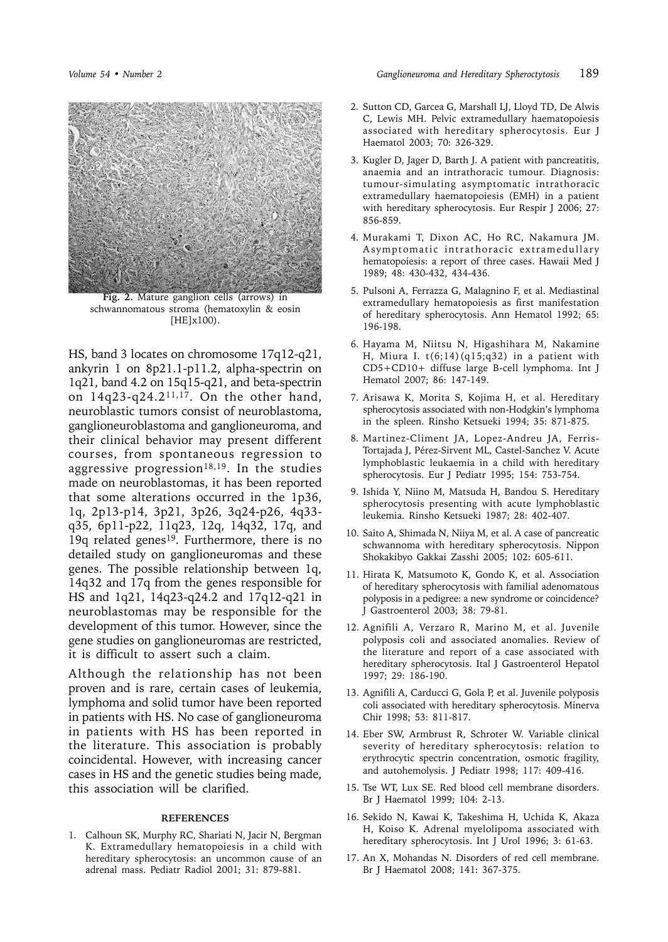

**Fig. 2.** Mature ganglion cells (arrows) in schwannomatous stroma (hematoxylin & eosin [HE]x100).

HS, band 3 locates on chromosome 17q12-q21, ankyrin 1 on 8p21.1-p11.2, alpha-spectrin on 1q21, band 4.2 on 15q15-q21, and beta-spectrin on  $14q23-q24.2^{11,17}$ . On the other hand, neuroblastic tumors consist of neuroblastoma, ganglioneuroblastoma and ganglioneuroma, and their clinical behavior may present different courses, from spontaneous regression to aggressive progression<sup>18,19</sup>. In the studies made on neuroblastomas, it has been reported that some alterations occurred in the 1p36, 1q, 2p13-p14, 3p21, 3p26, 3q24-p26, 4q33 q35, 6p11-p22, 11q23, 12q, 14q32, 17q, and 19q related genes<sup>19</sup>. Furthermore, there is no detailed study on ganglioneuromas and these genes. The possible relationship between 1q, 14q32 and 17q from the genes responsible for HS and 1q21, 14q23-q24.2 and 17q12-q21 in neuroblastomas may be responsible for the development of this tumor. However, since the gene studies on ganglioneuromas are restricted, it is difficult to assert such a claim.

Although the relationship has not been proven and is rare, certain cases of leukemia, lymphoma and solid tumor have been reported in patients with HS. No case of ganglioneuroma in patients with HS has been reported in the literature. This association is probably coincidental. However, with increasing cancer cases in HS and the genetic studies being made, this association will be clarified.

## **REFERENCES**

1. Calhoun SK, Murphy RC, Shariati N, Jacir N, Bergman K. Extramedullary hematopoiesis in a child with hereditary spherocytosis: an uncommon cause of an adrenal mass. Pediatr Radiol 2001; 31: 879-881.

- 2. Sutton CD, Garcea G, Marshall LJ, Lloyd TD, De Alwis C, Lewis MH. Pelvic extramedullary haematopoiesis associated with hereditary spherocytosis. Eur J Haematol 2003; 70: 326-329.
- 3. Kugler D, Jager D, Barth J. A patient with pancreatitis, anaemia and an intrathoracic tumour. Diagnosis: tumour-simulating asymptomatic intrathoracic extramedullary haematopoiesis (EMH) in a patient with hereditary spherocytosis. Eur Respir J 2006; 27: 856-859.
- 4. Murakami T, Dixon AC, Ho RC, Nakamura JM. Asymptomatic intrathoracic extramedullary hematopoiesis: a report of three cases. Hawaii Med J 1989; 48: 430-432, 434-436.
- 5. Pulsoni A, Ferrazza G, Malagnino F, et al. Mediastinal extramedullary hematopoiesis as first manifestation of hereditary spherocytosis. Ann Hematol 1992; 65: 196-198.
- 6. Hayama M, Niitsu N, Higashihara M, Nakamine H, Miura I.  $t(6;14)(q15;q32)$  in a patient with CD5+CD10+ diffuse large B-cell lymphoma. Int J Hematol 2007; 86: 147-149.
- 7. Arisawa K, Morita S, Kojima H, et al. Hereditary spherocytosis associated with non-Hodgkin's lymphoma in the spleen. Rinsho Ketsueki 1994; 35: 871-875.
- 8. Martinez-Climent JA, Lopez-Andreu JA, Ferris-Tortajada J, Pérez-Sirvent ML, Castel-Sanchez V. Acute lymphoblastic leukaemia in a child with hereditary spherocytosis. Eur J Pediatr 1995; 154: 753-754.
- 9. Ishida Y, Niino M, Matsuda H, Bandou S. Hereditary spherocytosis presenting with acute lymphoblastic leukemia. Rinsho Ketsueki 1987; 28: 402-407.
- 10. Saito A, Shimada N, Niiya M, et al. A case of pancreatic schwannoma with hereditary spherocytosis. Nippon Shokakibyo Gakkai Zasshi 2005; 102: 605-611.
- 11. Hirata K, Matsumoto K, Gondo K, et al. Association of hereditary spherocytosis with familial adenomatous polyposis in a pedigree: a new syndrome or coincidence? J Gastroenterol 2003; 38: 79-81.
- 12. Agnifili A, Verzaro R, Marino M, et al. Juvenile polyposis coli and associated anomalies. Review of the literature and report of a case associated with hereditary spherocytosis. Ital J Gastroenterol Hepatol 1997; 29: 186-190.
- 13. Agnifili A, Carducci G, Gola P, et al. Juvenile polyposis coli associated with hereditary spherocytosis. Minerva Chir 1998; 53: 811-817.
- 14. Eber SW, Armbrust R, Schroter W. Variable clinical severity of hereditary spherocytosis: relation to erythrocytic spectrin concentration, osmotic fragility, and autohemolysis. J Pediatr 1998; 117: 409-416.
- 15. Tse WT, Lux SE. Red blood cell membrane disorders. Br J Haematol 1999; 104: 2-13.
- 16. Sekido N, Kawai K, Takeshima H, Uchida K, Akaza H, Koiso K. Adrenal myelolipoma associated with hereditary spherocytosis. Int J Urol 1996; 3: 61-63.
- 17. An X, Mohandas N. Disorders of red cell membrane. Br J Haematol 2008; 141: 367-375.